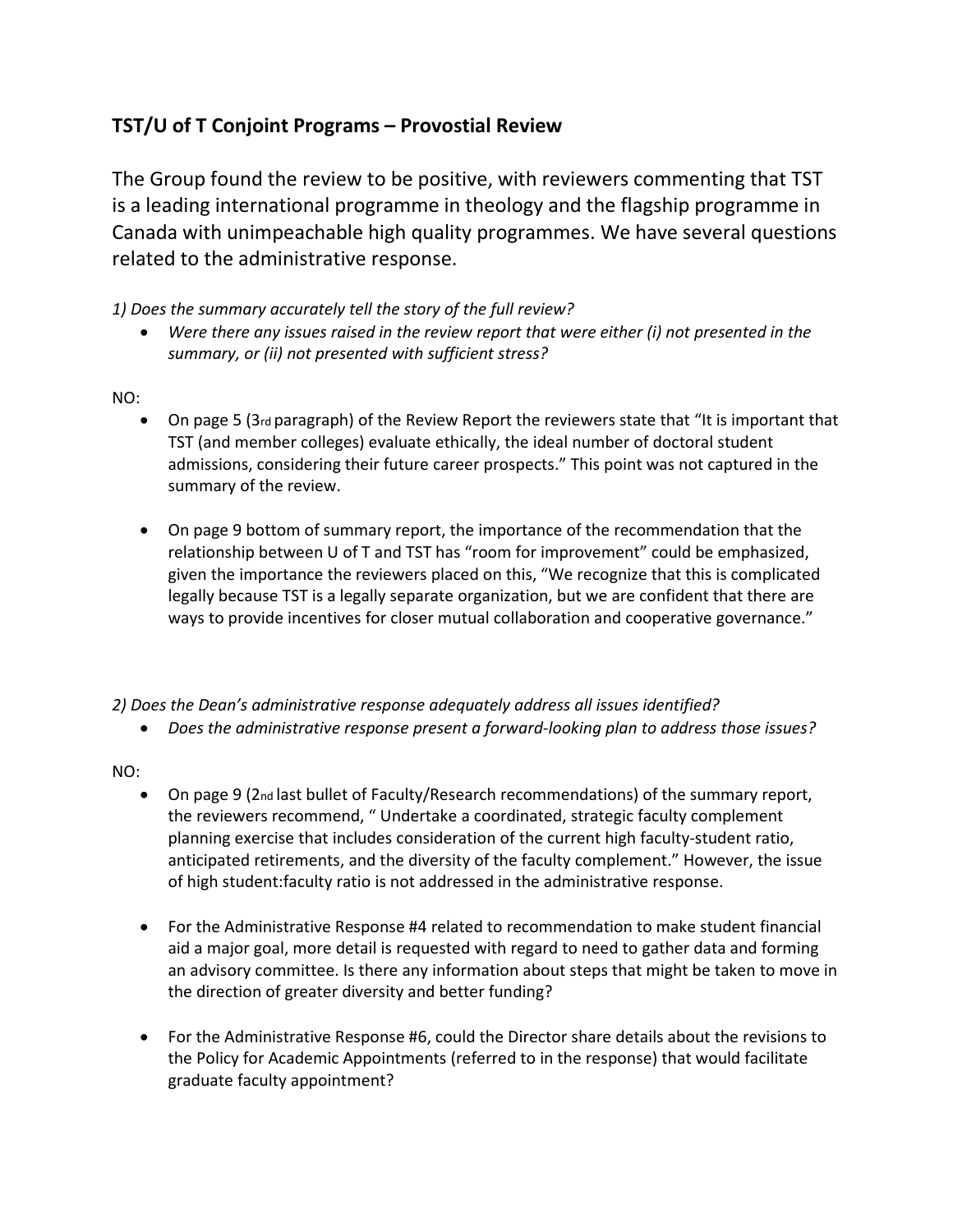## **TST/U of T Conjoint Programs – Provostial Review**

The Group found the review to be positive, with reviewers commenting that TST is a leading international programme in theology and the flagship programme in Canada with unimpeachable high quality programmes. We have several questions related to the administrative response.

*1) Does the summary accurately tell the story of the full review?* 

• *Were there any issues raised in the review report that were either (i) not presented in the summary, or (ii) not presented with sufficient stress?* 

## NO:

- On page 5 (3rd paragraph) of the Review Report the reviewers state that "It is important that TST (and member colleges) evaluate ethically, the ideal number of doctoral student admissions, considering their future career prospects." This point was not captured in the summary of the review.
- On page 9 bottom of summary report, the importance of the recommendation that the relationship between U of T and TST has "room for improvement" could be emphasized, given the importance the reviewers placed on this, "We recognize that this is complicated legally because TST is a legally separate organization, but we are confident that there are ways to provide incentives for closer mutual collaboration and cooperative governance."

*2) Does the Dean's administrative response adequately address all issues identified?* 

• *Does the administrative response present a forward-looking plan to address those issues?* 

NO:

- On page 9 (2nd last bullet of Faculty/Research recommendations) of the summary report, the reviewers recommend, " Undertake a coordinated, strategic faculty complement planning exercise that includes consideration of the current high faculty-student ratio, anticipated retirements, and the diversity of the faculty complement." However, the issue of high student:faculty ratio is not addressed in the administrative response.
- For the Administrative Response #4 related to recommendation to make student financial aid a major goal, more detail is requested with regard to need to gather data and forming an advisory committee. Is there any information about steps that might be taken to move in the direction of greater diversity and better funding?
- For the Administrative Response #6, could the Director share details about the revisions to the Policy for Academic Appointments (referred to in the response) that would facilitate graduate faculty appointment?